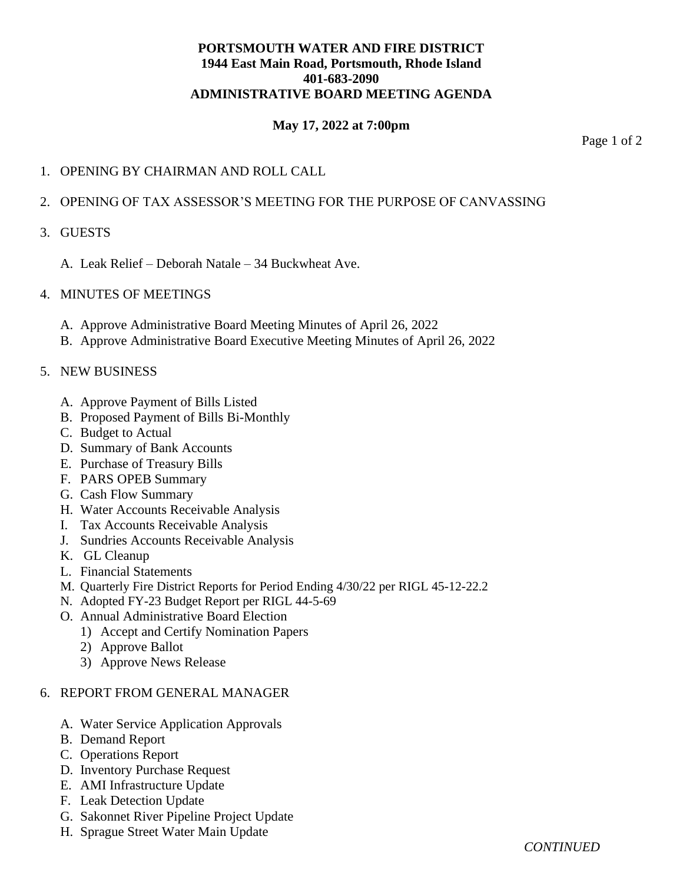# **PORTSMOUTH WATER AND FIRE DISTRICT 1944 East Main Road, Portsmouth, Rhode Island 401-683-2090 ADMINISTRATIVE BOARD MEETING AGENDA**

# **May 17, 2022 at 7:00pm**

Page 1 of 2

## 1. OPENING BY CHAIRMAN AND ROLL CALL

### 2. OPENING OF TAX ASSESSOR'S MEETING FOR THE PURPOSE OF CANVASSING

#### 3. GUESTS

A. Leak Relief – Deborah Natale – 34 Buckwheat Ave.

### 4. MINUTES OF MEETINGS

- A. Approve Administrative Board Meeting Minutes of April 26, 2022
- B. Approve Administrative Board Executive Meeting Minutes of April 26, 2022

### 5. NEW BUSINESS

- A. Approve Payment of Bills Listed
- B. Proposed Payment of Bills Bi-Monthly
- C. Budget to Actual
- D. Summary of Bank Accounts
- E. Purchase of Treasury Bills
- F. PARS OPEB Summary
- G. Cash Flow Summary
- H. Water Accounts Receivable Analysis
- I. Tax Accounts Receivable Analysis
- J. Sundries Accounts Receivable Analysis
- K. GL Cleanup
- L. Financial Statements
- M. Quarterly Fire District Reports for Period Ending 4/30/22 per RIGL 45-12-22.2
- N. Adopted FY-23 Budget Report per RIGL 44-5-69
- O. Annual Administrative Board Election
	- 1) Accept and Certify Nomination Papers
	- 2) Approve Ballot
	- 3) Approve News Release

#### 6. REPORT FROM GENERAL MANAGER

- A. Water Service Application Approvals
- B. Demand Report
- C. Operations Report
- D. Inventory Purchase Request
- E. AMI Infrastructure Update
- F. Leak Detection Update
- G. Sakonnet River Pipeline Project Update
- H. Sprague Street Water Main Update